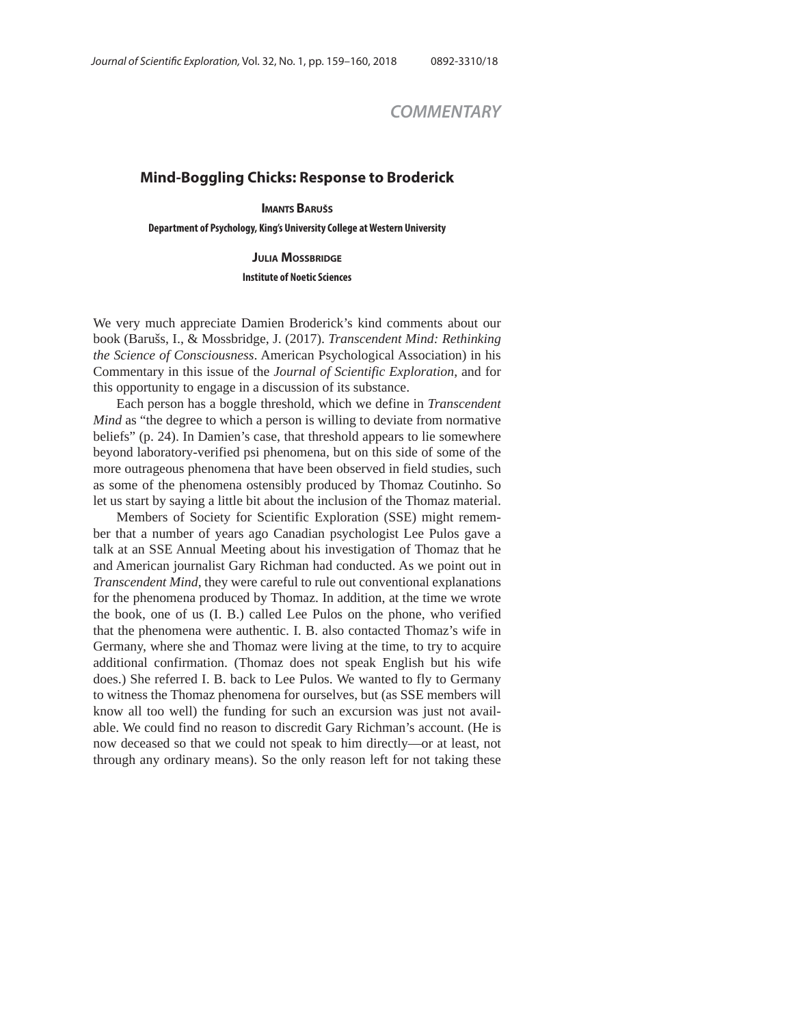## *COMMENTARY*

## **Mind-Boggling Chicks: Response to Broderick**

**IMANTS BARUŠS**

**Department of Psychology, King's University College at Western University**

**JULIA MOSSBRIDGE**

We very much appreciate Damien Broderick's kind comments about our book (Barušs, I., & Mossbridge, J. (2017). *Transcendent Mind: Rethinking the Science of Consciousness*. American Psychological Association) in his Commentary in this issue of the *Journal of Scientific Exploration*, and for this opportunity to engage in a discussion of its substance.

Each person has a boggle threshold, which we define in *Transcendent Mind* as "the degree to which a person is willing to deviate from normative beliefs" (p. 24). In Damien's case, that threshold appears to lie somewhere beyond laboratory-verified psi phenomena, but on this side of some of the more outrageous phenomena that have been observed in field studies, such as some of the phenomena ostensibly produced by Thomaz Coutinho. So let us start by saying a little bit about the inclusion of the Thomaz material.

Members of Society for Scientific Exploration (SSE) might remember that a number of years ago Canadian psychologist Lee Pulos gave a talk at an SSE Annual Meeting about his investigation of Thomaz that he and American journalist Gary Richman had conducted. As we point out in *Transcendent Mind*, they were careful to rule out conventional explanations for the phenomena produced by Thomaz. In addition, at the time we wrote the book, one of us (I. B.) called Lee Pulos on the phone, who verified that the phenomena were authentic. I. B. also contacted Thomaz's wife in Germany, where she and Thomaz were living at the time, to try to acquire additional confirmation. (Thomaz does not speak English but his wife does.) She referred I. B. back to Lee Pulos. We wanted to fly to Germany to witness the Thomaz phenomena for ourselves, but (as SSE members will know all too well) the funding for such an excursion was just not available. We could find no reason to discredit Gary Richman's account. (He is now deceased so that we could not speak to him directly—or at least, not through any ordinary means). So the only reason left for not taking these